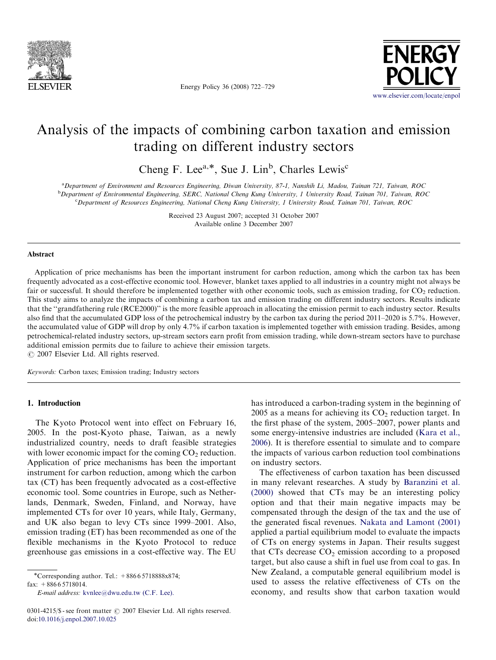

Energy Policy 36 (2008) 722–729



## Analysis of the impacts of combining carbon taxation and emission trading on different industry sectors

Cheng F. Lee<sup>a,\*</sup>, Sue J. Lin<sup>b</sup>, Charles Lewis<sup>c</sup>

a Department of Environment and Resources Engineering, Diwan University, 87-1, Nanshih Li, Madou, Tainan 721, Taiwan, ROC b Department of Environmental Engineering, SERC, National Cheng Kung University, 1 University Road, Tainan 701, Taiwan, ROC c Department of Resources Engineering, National Cheng Kung University, 1 University Road, Tainan 701, Taiwan, ROC

> Received 23 August 2007; accepted 31 October 2007 Available online 3 December 2007

#### Abstract

Application of price mechanisms has been the important instrument for carbon reduction, among which the carbon tax has been frequently advocated as a cost-effective economic tool. However, blanket taxes applied to all industries in a country might not always be fair or successful. It should therefore be implemented together with other economic tools, such as emission trading, for  $CO<sub>2</sub>$  reduction. This study aims to analyze the impacts of combining a carbon tax and emission trading on different industry sectors. Results indicate that the ''grandfathering rule (RCE2000)'' is the more feasible approach in allocating the emission permit to each industry sector. Results also find that the accumulated GDP loss of the petrochemical industry by the carbon tax during the period 2011–2020 is 5.7%. However, the accumulated value of GDP will drop by only 4.7% if carbon taxation is implemented together with emission trading. Besides, among petrochemical-related industry sectors, up-stream sectors earn profit from emission trading, while down-stream sectors have to purchase additional emission permits due to failure to achieve their emission targets.

 $O$  2007 Elsevier Ltd. All rights reserved.

Keywords: Carbon taxes; Emission trading; Industry sectors

## 1. Introduction

The Kyoto Protocol went into effect on February 16, 2005. In the post-Kyoto phase, Taiwan, as a newly industrialized country, needs to draft feasible strategies with lower economic impact for the coming  $CO<sub>2</sub>$  reduction. Application of price mechanisms has been the important instrument for carbon reduction, among which the carbon tax (CT) has been frequently advocated as a cost-effective economic tool. Some countries in Europe, such as Netherlands, Denmark, Sweden, Finland, and Norway, have implemented CTs for over 10 years, while Italy, Germany, and UK also began to levy CTs since 1999–2001. Also, emission trading (ET) has been recommended as one of the flexible mechanisms in the Kyoto Protocol to reduce greenhouse gas emissions in a cost-effective way. The EU

fax:  $+88665718014$ .

E-mail address: [kvnlee@dwu.edu.tw \(C.F. Lee\).](mailto:kvnlee@dwu.edu.tw)

has introduced a carbon-trading system in the beginning of 2005 as a means for achieving its  $CO<sub>2</sub>$  reduction target. In the first phase of the system, 2005–2007, power plants and some energy-intensive industries are included [\(Kara et al.,](#page--1-0) [2006\)](#page--1-0). It is therefore essential to simulate and to compare the impacts of various carbon reduction tool combinations on industry sectors.

The effectiveness of carbon taxation has been discussed in many relevant researches. A study by [Baranzini et al.](#page--1-0) [\(2000\)](#page--1-0) showed that CTs may be an interesting policy option and that their main negative impacts may be compensated through the design of the tax and the use of the generated fiscal revenues. [Nakata and Lamont \(2001\)](#page--1-0) applied a partial equilibrium model to evaluate the impacts of CTs on energy systems in Japan. Their results suggest that CTs decrease  $CO<sub>2</sub>$  emission according to a proposed target, but also cause a shift in fuel use from coal to gas. In New Zealand, a computable general equilibrium model is used to assess the relative effectiveness of CTs on the economy, and results show that carbon taxation would

<sup>-</sup>Corresponding author. Tel.: +886 6 5718888x874;

<sup>0301-4215/\$ -</sup> see front matter  $\odot$  2007 Elsevier Ltd. All rights reserved. doi:[10.1016/j.enpol.2007.10.025](dx.doi.org/10.1016/j.enpol.2007.10.025)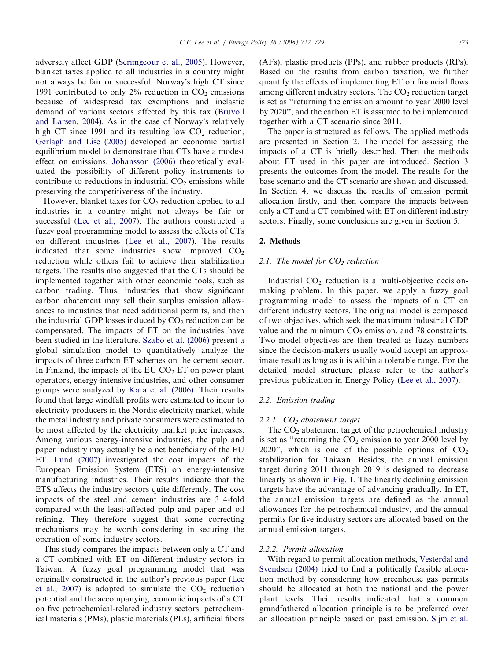adversely affect GDP [\(Scrimgeour et al., 2005\)](#page--1-0). However, blanket taxes applied to all industries in a country might not always be fair or successful. Norway's high CT since 1991 contributed to only  $2\%$  reduction in  $CO<sub>2</sub>$  emissions because of widespread tax exemptions and inelastic demand of various sectors affected by this tax ([Bruvoll](#page--1-0) [and Larsen, 2004\)](#page--1-0). As in the case of Norway's relatively high CT since 1991 and its resulting low  $CO<sub>2</sub>$  reduction, [Gerlagh and Lise \(2005\)](#page--1-0) developed an economic partial equilibrium model to demonstrate that CTs have a modest effect on emissions. [Johansson \(2006\)](#page--1-0) theoretically evaluated the possibility of different policy instruments to contribute to reductions in industrial  $CO<sub>2</sub>$  emissions while preserving the competitiveness of the industry.

However, blanket taxes for  $CO<sub>2</sub>$  reduction applied to all industries in a country might not always be fair or successful ([Lee et al., 2007\)](#page--1-0). The authors constructed a fuzzy goal programming model to assess the effects of CTs on different industries [\(Lee et al., 2007](#page--1-0)). The results indicated that some industries show improved  $CO<sub>2</sub>$ reduction while others fail to achieve their stabilization targets. The results also suggested that the CTs should be implemented together with other economic tools, such as carbon trading. Thus, industries that show significant carbon abatement may sell their surplus emission allowances to industries that need additional permits, and then the industrial GDP losses induced by  $CO<sub>2</sub>$  reduction can be compensated. The impacts of ET on the industries have been studied in the literature. Szabó [et al. \(2006\)](#page--1-0) present a global simulation model to quantitatively analyze the impacts of three carbon ET schemes on the cement sector. In Finland, the impacts of the EU  $CO<sub>2</sub> ET$  on power plant operators, energy-intensive industries, and other consumer groups were analyzed by [Kara et al. \(2006\).](#page--1-0) Their results found that large windfall profits were estimated to incur to electricity producers in the Nordic electricity market, while the metal industry and private consumers were estimated to be most affected by the electricity market price increases. Among various energy-intensive industries, the pulp and paper industry may actually be a net beneficiary of the EU ET. [Lund \(2007\)](#page--1-0) investigated the cost impacts of the European Emission System (ETS) on energy-intensive manufacturing industries. Their results indicate that the ETS affects the industry sectors quite differently. The cost impacts of the steel and cement industries are 3–4-fold compared with the least-affected pulp and paper and oil refining. They therefore suggest that some correcting mechanisms may be worth considering in securing the operation of some industry sectors.

This study compares the impacts between only a CT and a CT combined with ET on different industry sectors in Taiwan. A fuzzy goal programming model that was originally constructed in the author's previous paper [\(Lee](#page--1-0) [et al., 2007](#page--1-0)) is adopted to simulate the  $CO<sub>2</sub>$  reduction potential and the accompanying economic impacts of a CT on five petrochemical-related industry sectors: petrochemical materials (PMs), plastic materials (PLs), artificial fibers (AFs), plastic products (PPs), and rubber products (RPs). Based on the results from carbon taxation, we further quantify the effects of implementing ET on financial flows among different industry sectors. The  $CO<sub>2</sub>$  reduction target is set as ''returning the emission amount to year 2000 level by 2020'', and the carbon ET is assumed to be implemented together with a CT scenario since 2011.

The paper is structured as follows. The applied methods are presented in Section 2. The model for assessing the impacts of a CT is briefly described. Then the methods about ET used in this paper are introduced. Section 3 presents the outcomes from the model. The results for the base scenario and the CT scenario are shown and discussed. In Section 4, we discuss the results of emission permit allocation firstly, and then compare the impacts between only a CT and a CT combined with ET on different industry sectors. Finally, some conclusions are given in Section 5.

### 2. Methods

## 2.1. The model for  $CO<sub>2</sub>$  reduction

Industrial  $CO<sub>2</sub>$  reduction is a multi-objective decisionmaking problem. In this paper, we apply a fuzzy goal programming model to assess the impacts of a CT on different industry sectors. The original model is composed of two objectives, which seek the maximum industrial GDP value and the minimum  $CO<sub>2</sub>$  emission, and 78 constraints. Two model objectives are then treated as fuzzy numbers since the decision-makers usually would accept an approximate result as long as it is within a tolerable range. For the detailed model structure please refer to the author's previous publication in Energy Policy ([Lee et al., 2007](#page--1-0)).

## 2.2. Emission trading

### 2.2.1.  $CO<sub>2</sub>$  abatement target

The  $CO<sub>2</sub>$  abatement target of the petrochemical industry is set as "returning the  $CO<sub>2</sub>$  emission to year 2000 level by 2020", which is one of the possible options of  $CO<sub>2</sub>$ stabilization for Taiwan. Besides, the annual emission target during 2011 through 2019 is designed to decrease linearly as shown in [Fig. 1.](#page--1-0) The linearly declining emission targets have the advantage of advancing gradually. In ET, the annual emission targets are defined as the annual allowances for the petrochemical industry, and the annual permits for five industry sectors are allocated based on the annual emission targets.

#### 2.2.2. Permit allocation

With regard to permit allocation methods, [Vesterdal and](#page--1-0) [Svendsen \(2004\)](#page--1-0) tried to find a politically feasible allocation method by considering how greenhouse gas permits should be allocated at both the national and the power plant levels. Their results indicated that a common grandfathered allocation principle is to be preferred over an allocation principle based on past emission. [Sijm et al.](#page--1-0)